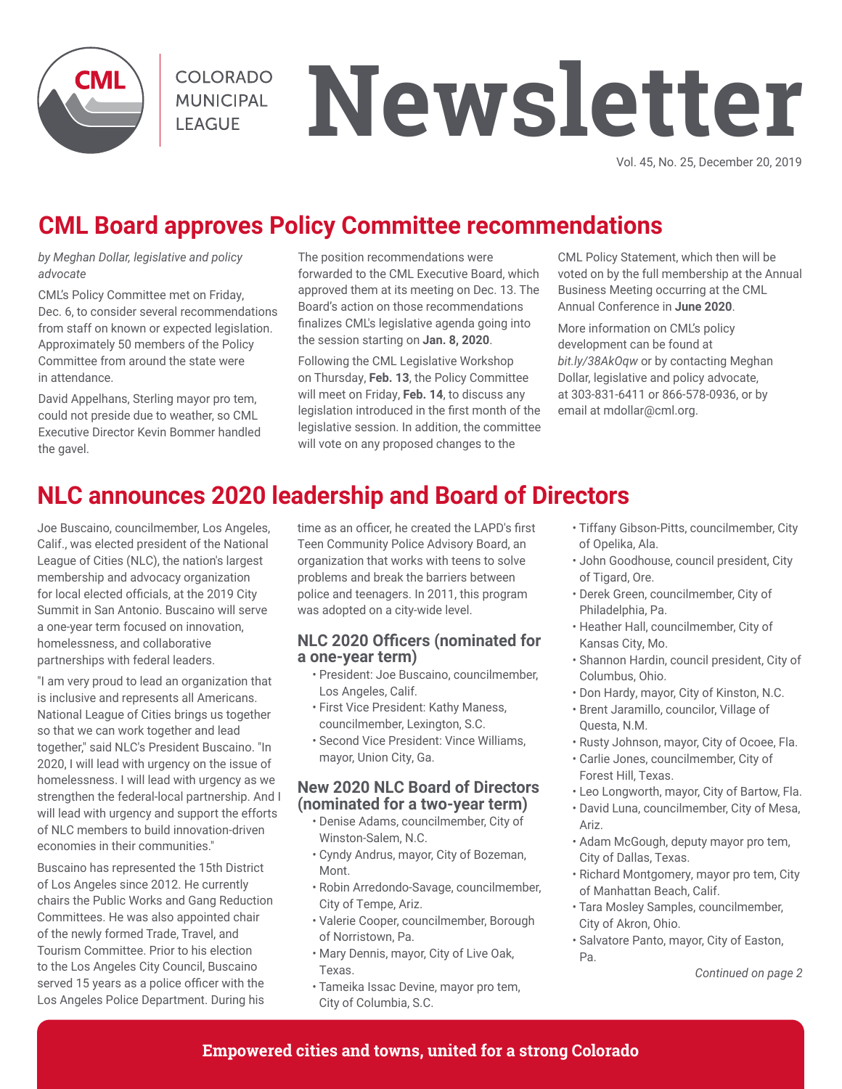

**COLORADO MUNICIPAL I FAGUE** 

# **Newsletter**

Vol. 45, No. 25, December 20, 2019

# **CML Board approves Policy Committee recommendations**

*by Meghan Dollar, legislative and policy advocate* 

CML's Policy Committee met on Friday, Dec. 6, to consider several recommendations from staff on known or expected legislation. Approximately 50 members of the Policy Committee from around the state were in attendance.

David Appelhans, Sterling mayor pro tem, could not preside due to weather, so CML Executive Director Kevin Bommer handled the gavel.

The position recommendations were forwarded to the CML Executive Board, which approved them at its meeting on Dec. 13. The Board's action on those recommendations finalizes CML's legislative agenda going into the session starting on **Jan. 8, 2020**.

Following the CML Legislative Workshop on Thursday, **Feb. 13**, the Policy Committee will meet on Friday, **Feb. 14**, to discuss any legislation introduced in the first month of the legislative session. In addition, the committee will vote on any proposed changes to the

CML Policy Statement, which then will be voted on by the full membership at the Annual Business Meeting occurring at the CML Annual Conference in **June 2020**.

More information on CML's policy development can be found at *bit.ly/38AkOqw* or by contacting Meghan Dollar, legislative and policy advocate, at 303-831-6411 or 866-578-0936, or by email at mdollar@cml.org.

# **NLC announces 2020 leadership and Board of Directors**

Joe Buscaino, councilmember, Los Angeles, Calif., was elected president of the National League of Cities (NLC), the nation's largest membership and advocacy organization for local elected officials, at the 2019 City Summit in San Antonio. Buscaino will serve a one-year term focused on innovation, homelessness, and collaborative partnerships with federal leaders.

"I am very proud to lead an organization that is inclusive and represents all Americans. National League of Cities brings us together so that we can work together and lead together," said NLC's President Buscaino. "In 2020, I will lead with urgency on the issue of homelessness. I will lead with urgency as we strengthen the federal-local partnership. And I will lead with urgency and support the efforts of NLC members to build innovation-driven economies in their communities."

Buscaino has represented the 15th District of Los Angeles since 2012. He currently chairs the Public Works and Gang Reduction Committees. He was also appointed chair of the newly formed Trade, Travel, and Tourism Committee. Prior to his election to the Los Angeles City Council, Buscaino served 15 years as a police officer with the Los Angeles Police Department. During his

time as an officer, he created the LAPD's first Teen Community Police Advisory Board, an organization that works with teens to solve problems and break the barriers between police and teenagers. In 2011, this program was adopted on a city-wide level.

## **NLC 2020 Officers (nominated for a one-year term)**

- President: Joe Buscaino, councilmember, Los Angeles, Calif.
- First Vice President: Kathy Maness, councilmember, Lexington, S.C.
- Second Vice President: Vince Williams, mayor, Union City, Ga.

## **New 2020 NLC Board of Directors (nominated for a two-year term)**

- Denise Adams, councilmember, City of Winston-Salem, N.C.
- Cyndy Andrus, mayor, City of Bozeman, Mont.
- Robin Arredondo-Savage, councilmember, City of Tempe, Ariz.
- Valerie Cooper, councilmember, Borough of Norristown, Pa.
- Mary Dennis, mayor, City of Live Oak, Texas.
- Tameika Issac Devine, mayor pro tem, City of Columbia, S.C.
- Tiffany Gibson-Pitts, councilmember, City of Opelika, Ala.
- John Goodhouse, council president, City of Tigard, Ore.
- Derek Green, councilmember, City of Philadelphia, Pa.
- Heather Hall, councilmember, City of Kansas City, Mo.
- Shannon Hardin, council president, City of Columbus, Ohio.
- Don Hardy, mayor, City of Kinston, N.C.
- Brent Jaramillo, councilor, Village of Questa, N.M.
- Rusty Johnson, mayor, City of Ocoee, Fla.
- Carlie Jones, councilmember, City of Forest Hill, Texas.
- Leo Longworth, mayor, City of Bartow, Fla.
- David Luna, councilmember, City of Mesa, Ariz.
- Adam McGough, deputy mayor pro tem, City of Dallas, Texas.
- Richard Montgomery, mayor pro tem, City of Manhattan Beach, Calif.
- Tara Mosley Samples, councilmember, City of Akron, Ohio.
- Salvatore Panto, mayor, City of Easton, Pa.

*Continued on page 2*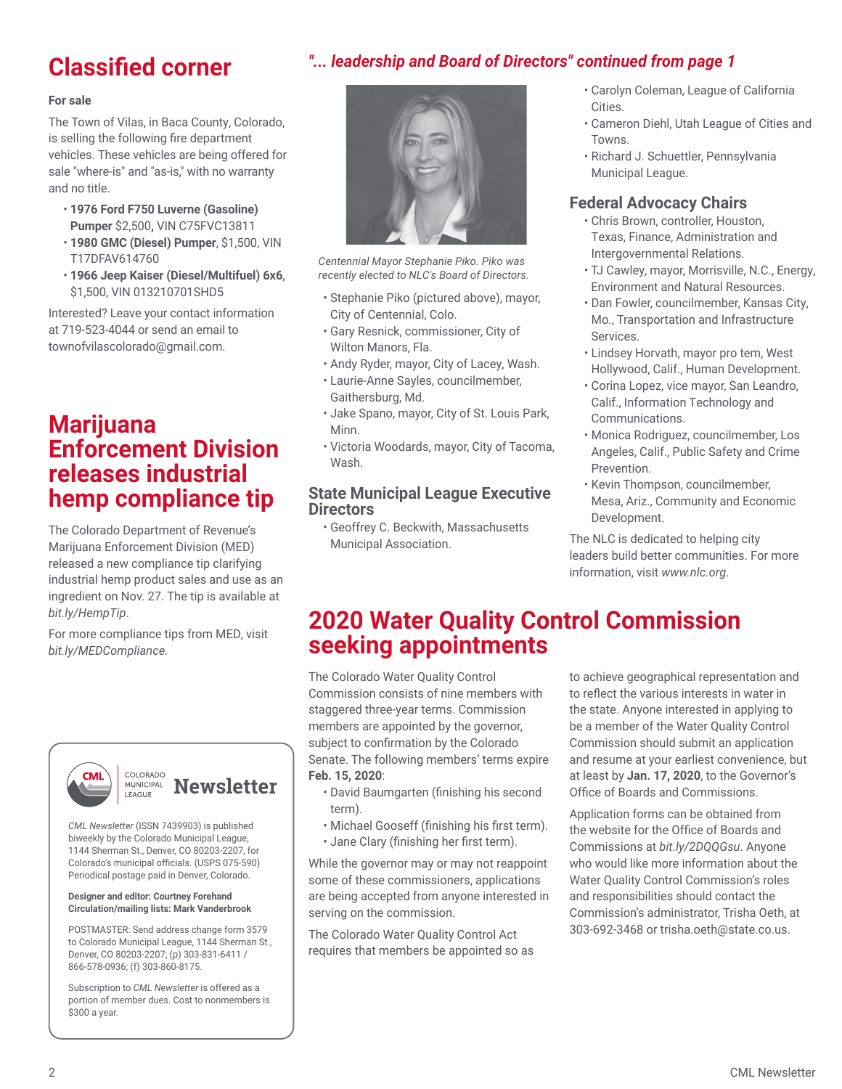# **Classified corner**

# *"... leadership and Board of Directors" continued from page 1*

#### **For sale**

The Town of Vilas, in Baca County, Colorado, is selling the following fire department vehicles. These vehicles are being offered for sale "where-is" and "as-is," with no warranty and no title.

- **1976 Ford F750 Luverne (Gasoline) Pumper** \$2,500**,** VIN C75FVC13811
- **1980 GMC (Diesel) Pumper**, \$1,500, VIN T17DFAV614760
- **1966 Jeep Kaiser (Diesel/Multifuel) 6x6**, \$1,500, VIN 013210701SHD5

Interested? Leave your contact information at 719-523-4044 or send an email to townofvilascolorado@gmail.com.

# **Marijuana Enforcement Division releases industrial hemp compliance tip**

The Colorado Department of Revenue's Marijuana Enforcement Division (MED) released a new compliance tip clarifying industrial hemp product sales and use as an ingredient on Nov. 27. The tip is available at *bit.ly/HempTip*.

For more compliance tips from MED, visit *bit.ly/MEDCompliance.*



#### COLORADO **MUNICIPAL Newsletter** LEAGUE

*CML Newsletter* (ISSN 7439903) is published biweekly by the Colorado Municipal League, 1144 Sherman St., Denver, CO 80203-2207, for Colorado's municipal officials. (USPS 075-590) Periodical postage paid in Denver, Colorado.

#### **Designer and editor: Courtney Forehand Circulation/mailing lists: Mark Vanderbrook**

POSTMASTER: Send address change form 3579 to Colorado Municipal League, 1144 Sherman St., Denver, CO 80203-2207; (p) 303-831-6411 / 866-578-0936; (f) 303-860-8175.

Subscription to *CML Newsletter* is offered as a portion of member dues. Cost to nonmembers is \$300 a year.



*Centennial Mayor Stephanie Piko. Piko was recently elected to NLC's Board of Directors.*

- Stephanie Piko (pictured above), mayor, City of Centennial, Colo.
- Gary Resnick, commissioner, City of Wilton Manors, Fla.
- Andy Ryder, mayor, City of Lacey, Wash.
- Laurie-Anne Sayles, councilmember, Gaithersburg, Md.
- Jake Spano, mayor, City of St. Louis Park, Minn.
- Victoria Woodards, mayor, City of Tacoma, Wash.

## **State Municipal League Executive Directors**

• Geoffrey C. Beckwith, Massachusetts Municipal Association.

- Carolyn Coleman, League of California Cities.
- Cameron Diehl, Utah League of Cities and Towns.
- Richard J. Schuettler, Pennsylvania Municipal League.

## **Federal Advocacy Chairs**

- Chris Brown, controller, Houston, Texas, Finance, Administration and Intergovernmental Relations.
- TJ Cawley, mayor, Morrisville, N.C., Energy, Environment and Natural Resources.
- Dan Fowler, councilmember, Kansas City, Mo., Transportation and Infrastructure Services.
- Lindsey Horvath, mayor pro tem, West Hollywood, Calif., Human Development.
- Corina Lopez, vice mayor, San Leandro, Calif., Information Technology and Communications.
- Monica Rodriguez, councilmember, Los Angeles, Calif., Public Safety and Crime Prevention.
- Kevin Thompson, councilmember, Mesa, Ariz., Community and Economic Development.

The NLC is dedicated to helping city leaders build better communities. For more information, visit *www.nlc.org*.

# **2020 Water Quality Control Commission seeking appointments**

The Colorado Water Quality Control Commission consists of nine members with staggered three-year terms. Commission members are appointed by the governor, subject to confirmation by the Colorado Senate. The following members' terms expire **Feb. 15, 2020**:

- David Baumgarten (finishing his second term).
- Michael Gooseff (finishing his first term).
- Jane Clary (finishing her first term).

While the governor may or may not reappoint some of these commissioners, applications are being accepted from anyone interested in serving on the commission.

The Colorado Water Quality Control Act requires that members be appointed so as to achieve geographical representation and to reflect the various interests in water in the state. Anyone interested in applying to be a member of the Water Quality Control Commission should submit an application and resume at your earliest convenience, but at least by **Jan. 17, 2020**, to the Governor's Office of Boards and Commissions.

Application forms can be obtained from the website for the Office of Boards and Commissions at *bit.ly/2DQQGsu*. Anyone who would like more information about the Water Quality Control Commission's roles and responsibilities should contact the Commission's administrator, Trisha Oeth, at 303-692-3468 or trisha.oeth@state.co.us.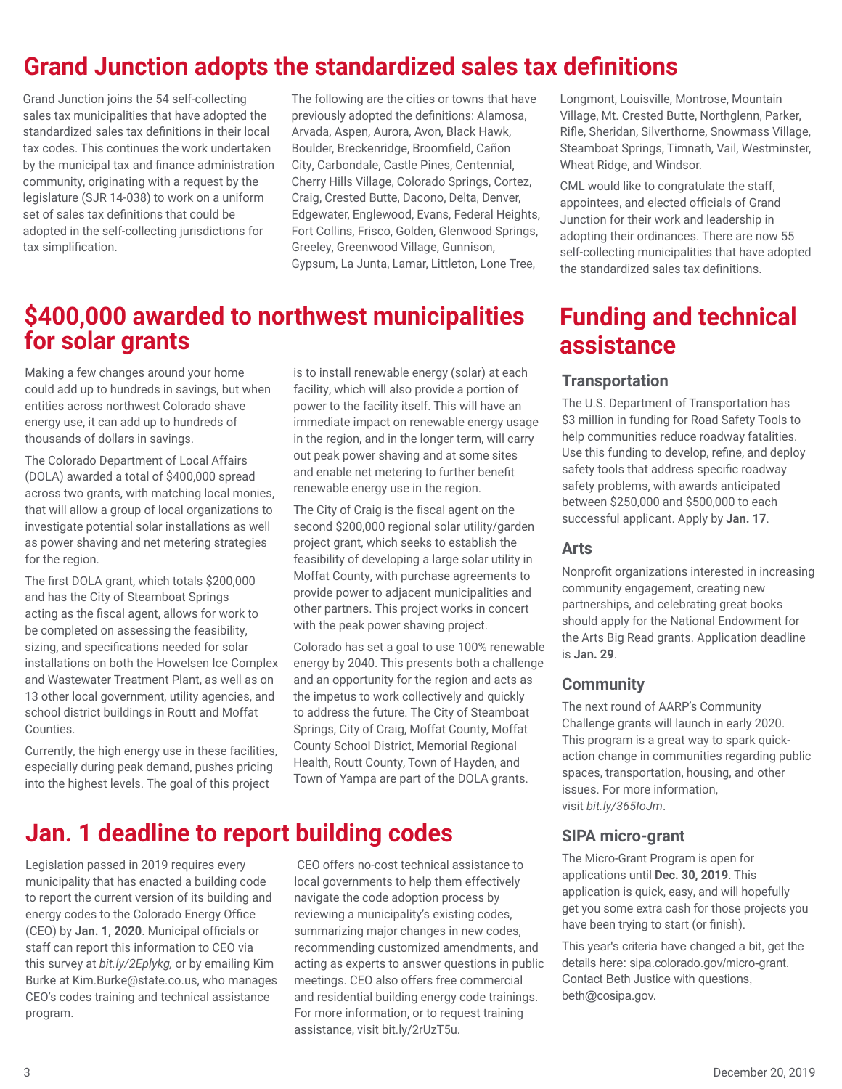# **Grand Junction adopts the standardized sales tax definitions**

Grand Junction joins the 54 self-collecting sales tax municipalities that have adopted the standardized sales tax definitions in their local tax codes. This continues the work undertaken by the municipal tax and finance administration community, originating with a request by the legislature (SJR 14-038) to work on a uniform set of sales tax definitions that could be adopted in the self-collecting jurisdictions for tax simplification.

The following are the cities or towns that have previously adopted the definitions: Alamosa, Arvada, Aspen, Aurora, Avon, Black Hawk, Boulder, Breckenridge, Broomfield, Cañon City, Carbondale, Castle Pines, Centennial, Cherry Hills Village, Colorado Springs, Cortez, Craig, Crested Butte, Dacono, Delta, Denver, Edgewater, Englewood, Evans, Federal Heights, Fort Collins, Frisco, Golden, Glenwood Springs, Greeley, Greenwood Village, Gunnison, Gypsum, La Junta, Lamar, Littleton, Lone Tree,

# **\$400,000 awarded to northwest municipalities for solar grants**

Making a few changes around your home could add up to hundreds in savings, but when entities across northwest Colorado shave energy use, it can add up to hundreds of thousands of dollars in savings.

The Colorado Department of Local Affairs (DOLA) awarded a total of \$400,000 spread across two grants, with matching local monies, that will allow a group of local organizations to investigate potential solar installations as well as power shaving and net metering strategies for the region.

The first DOLA grant, which totals \$200,000 and has the City of Steamboat Springs acting as the fiscal agent, allows for work to be completed on assessing the feasibility, sizing, and specifications needed for solar installations on both the Howelsen Ice Complex and Wastewater Treatment Plant, as well as on 13 other local government, utility agencies, and school district buildings in Routt and Moffat Counties.

Currently, the high energy use in these facilities, especially during peak demand, pushes pricing into the highest levels. The goal of this project

is to install renewable energy (solar) at each facility, which will also provide a portion of power to the facility itself. This will have an immediate impact on renewable energy usage in the region, and in the longer term, will carry out peak power shaving and at some sites and enable net metering to further benefit renewable energy use in the region.

The City of Craig is the fiscal agent on the second \$200,000 regional solar utility/garden project grant, which seeks to establish the feasibility of developing a large solar utility in Moffat County, with purchase agreements to provide power to adjacent municipalities and other partners. This project works in concert with the peak power shaving project.

Colorado has set a goal to use 100% renewable energy by 2040. This presents both a challenge and an opportunity for the region and acts as the impetus to work collectively and quickly to address the future. The City of Steamboat Springs, City of Craig, Moffat County, Moffat County School District, Memorial Regional Health, Routt County, Town of Hayden, and Town of Yampa are part of the DOLA grants.

# **Jan. 1 deadline to report building codes**

Legislation passed in 2019 requires every municipality that has enacted a building code to report the current version of its building and energy codes to the Colorado Energy Office (CEO) by **Jan. 1, 2020**. Municipal officials or staff can report this information to CEO via this survey at *bit.ly/2Eplykg,* or by emailing Kim Burke at Kim.Burke@state.co.us, who manages CEO's codes training and technical assistance program.

 CEO offers no-cost technical assistance to local governments to help them effectively navigate the code adoption process by reviewing a municipality's existing codes, summarizing major changes in new codes, recommending customized amendments, and acting as experts to answer questions in public meetings. CEO also offers free commercial and residential building energy code trainings. For more information, or to request training assistance, visit bit.ly/2rUzT5u.

Longmont, Louisville, Montrose, Mountain Village, Mt. Crested Butte, Northglenn, Parker, Rifle, Sheridan, Silverthorne, Snowmass Village, Steamboat Springs, Timnath, Vail, Westminster, Wheat Ridge, and Windsor.

CML would like to congratulate the staff, appointees, and elected officials of Grand Junction for their work and leadership in adopting their ordinances. There are now 55 self-collecting municipalities that have adopted the standardized sales tax definitions.

# **Funding and technical assistance**

## **Transportation**

The U.S. Department of Transportation has \$3 million in funding for Road Safety Tools to help communities reduce roadway fatalities. Use this funding to develop, refine, and deploy safety tools that address specific roadway safety problems, with awards anticipated between \$250,000 and \$500,000 to each successful applicant. Apply by **Jan. 17**.

## **Arts**

Nonprofit organizations interested in increasing community engagement, creating new partnerships, and celebrating great books should apply for the National Endowment for the Arts Big Read grants. Application deadline is **Jan. 29**.

## **Community**

The next round of AARP's Community Challenge grants will launch in early 2020. This program is a great way to spark quickaction change in communities regarding public spaces, transportation, housing, and other issues. For more information, visit *bit.ly/365IoJm*.

## **SIPA micro-grant**

The Micro-Grant Program is open for applications until **Dec. 30, 2019**. This application is quick, easy, and will hopefully get you some extra cash for those projects you have been trying to start (or finish).

This year's criteria have changed a bit, get the details here: sipa.colorado.gov/micro-grant. Contact Beth Justice with questions, beth@cosipa.gov.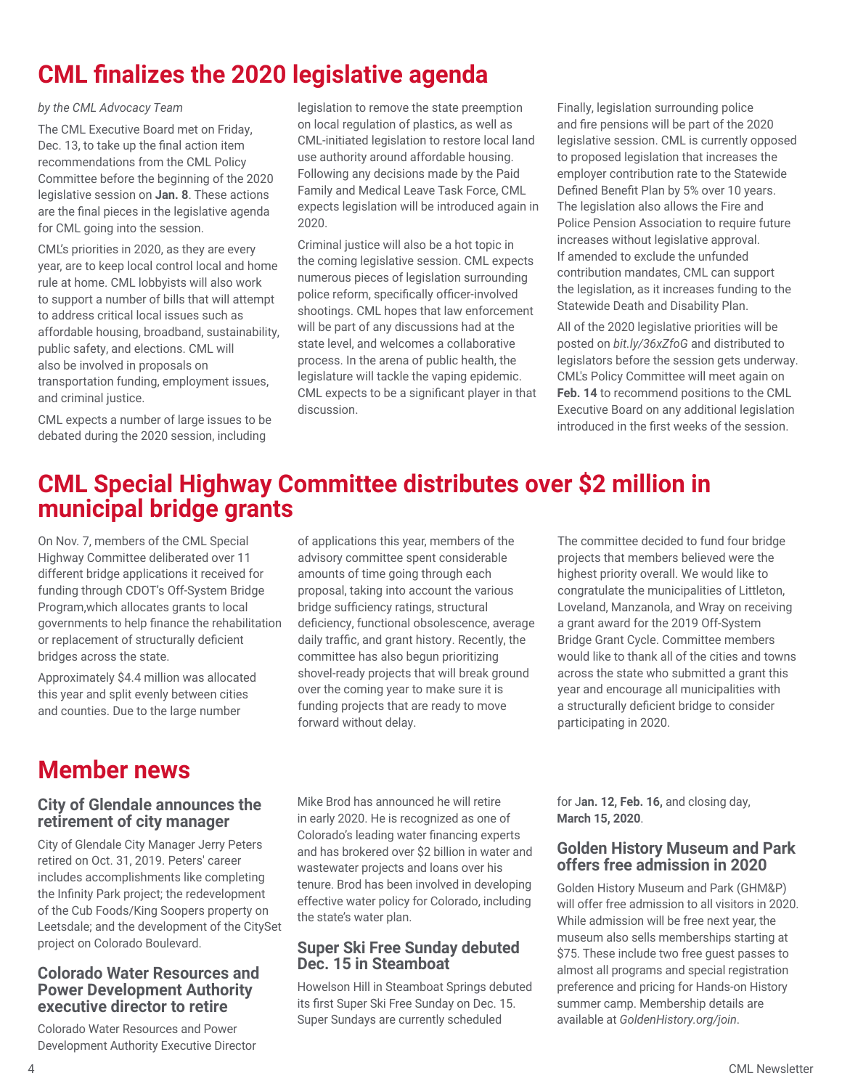# **CML finalizes the 2020 legislative agenda**

#### *by the CML Advocacy Team*

The CML Executive Board met on Friday, Dec. 13, to take up the final action item recommendations from the CML Policy Committee before the beginning of the 2020 legislative session on **Jan. 8**. These actions are the final pieces in the legislative agenda for CML going into the session.

CML's priorities in 2020, as they are every year, are to keep local control local and home rule at home. CML lobbyists will also work to support a number of bills that will attempt to address critical local issues such as affordable housing, broadband, sustainability, public safety, and elections. CML will also be involved in proposals on transportation funding, employment issues, and criminal justice.

CML expects a number of large issues to be debated during the 2020 session, including

legislation to remove the state preemption on local regulation of plastics, as well as CML-initiated legislation to restore local land use authority around affordable housing. Following any decisions made by the Paid Family and Medical Leave Task Force, CML expects legislation will be introduced again in 2020.

Criminal justice will also be a hot topic in the coming legislative session. CML expects numerous pieces of legislation surrounding police reform, specifically officer-involved shootings. CML hopes that law enforcement will be part of any discussions had at the state level, and welcomes a collaborative process. In the arena of public health, the legislature will tackle the vaping epidemic. CML expects to be a significant player in that discussion.

Finally, legislation surrounding police and fire pensions will be part of the 2020 legislative session. CML is currently opposed to proposed legislation that increases the employer contribution rate to the Statewide Defined Benefit Plan by 5% over 10 years. The legislation also allows the Fire and Police Pension Association to require future increases without legislative approval. If amended to exclude the unfunded contribution mandates, CML can support the legislation, as it increases funding to the Statewide Death and Disability Plan.

All of the 2020 legislative priorities will be posted on *bit.ly/36xZfoG* and distributed to legislators before the session gets underway. CML's Policy Committee will meet again on **Feb. 14** to recommend positions to the CML Executive Board on any additional legislation introduced in the first weeks of the session.

# **CML Special Highway Committee distributes over \$2 million in municipal bridge grants**

On Nov. 7, members of the CML Special Highway Committee deliberated over 11 different bridge applications it received for funding through CDOT's Off-System Bridge Program,which allocates grants to local governments to help finance the rehabilitation or replacement of structurally deficient bridges across the state.

Approximately \$4.4 million was allocated this year and split evenly between cities and counties. Due to the large number

# **Member news**

## **City of Glendale announces the retirement of city manager**

City of Glendale City Manager Jerry Peters retired on Oct. 31, 2019. Peters' career includes accomplishments like completing the Infinity Park project; the redevelopment of the Cub Foods/King Soopers property on Leetsdale; and the development of the CitySet project on Colorado Boulevard.

## **Colorado Water Resources and Power Development Authority executive director to retire**

Colorado Water Resources and Power Development Authority Executive Director of applications this year, members of the advisory committee spent considerable amounts of time going through each proposal, taking into account the various bridge sufficiency ratings, structural deficiency, functional obsolescence, average daily traffic, and grant history. Recently, the committee has also begun prioritizing shovel-ready projects that will break ground over the coming year to make sure it is funding projects that are ready to move forward without delay.

The committee decided to fund four bridge projects that members believed were the highest priority overall. We would like to congratulate the municipalities of Littleton, Loveland, Manzanola, and Wray on receiving a grant award for the 2019 Off-System Bridge Grant Cycle. Committee members would like to thank all of the cities and towns across the state who submitted a grant this year and encourage all municipalities with a structurally deficient bridge to consider participating in 2020.

Mike Brod has announced he will retire in early 2020. He is recognized as one of Colorado's leading water financing experts and has brokered over \$2 billion in water and wastewater projects and loans over his tenure. Brod has been involved in developing effective water policy for Colorado, including the state's water plan.

## **Super Ski Free Sunday debuted Dec. 15 in Steamboat**

Howelson Hill in Steamboat Springs debuted its first Super Ski Free Sunday on Dec. 15. Super Sundays are currently scheduled

for J**an. 12, Feb. 16,** and closing day, **March 15, 2020**.

## **Golden History Museum and Park offers free admission in 2020**

Golden History Museum and Park (GHM&P) will offer free admission to all visitors in 2020. While admission will be free next year, the museum also sells memberships starting at \$75. These include two free guest passes to almost all programs and special registration preference and pricing for Hands-on History summer camp. Membership details are available at *GoldenHistory.org/join*.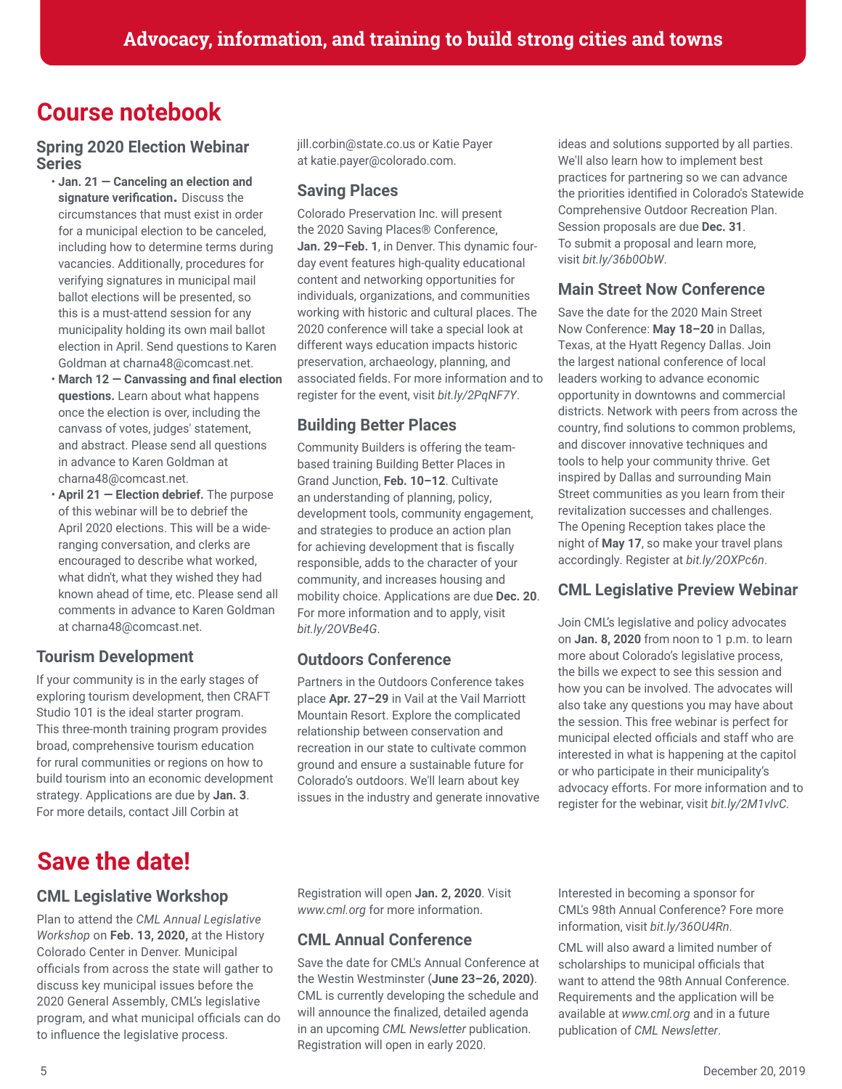# **Course notebook**

## **Spring 2020 Election Webinar Series**

- **Jan. 21 Canceling an election and signature verification.** Discuss the circumstances that must exist in order for a municipal election to be canceled, including how to determine terms during vacancies. Additionally, procedures for verifying signatures in municipal mail ballot elections will be presented, so this is a must-attend session for any municipality holding its own mail ballot election in April. Send questions to Karen Goldman at charna48@comcast.net.
- **March 12 Canvassing and final election questions.** Learn about what happens once the election is over, including the canvass of votes, judges' statement, and abstract. Please send all questions in advance to Karen Goldman at charna48@comcast.net.
- **April 21 Election debrief.** The purpose of this webinar will be to debrief the April 2020 elections. This will be a wideranging conversation, and clerks are encouraged to describe what worked, what didn't, what they wished they had known ahead of time, etc. Please send all comments in advance to Karen Goldman at charna48@comcast.net.

# **Tourism Development**

If your community is in the early stages of exploring tourism development, then CRAFT Studio 101 is the ideal starter program. This three-month training program provides broad, comprehensive tourism education for rural communities or regions on how to build tourism into an economic development strategy. Applications are due by **Jan. 3**. For more details, contact Jill Corbin at

# **Save the date!**

# **CML Legislative Workshop**

Plan to attend the *CML Annual Legislative Workshop* on **Feb. 13, 2020,** at the History Colorado Center in Denver. Municipal officials from across the state will gather to discuss key municipal issues before the 2020 General Assembly, CML's legislative program, and what municipal officials can do to influence the legislative process.

jill.corbin@state.co.us or Katie Payer at katie.payer@colorado.com.

## **Saving Places**

Colorado Preservation Inc. will present the 2020 Saving Places® Conference, **Jan. 29–Feb. 1**, in Denver. This dynamic fourday event features high-quality educational content and networking opportunities for individuals, organizations, and communities working with historic and cultural places. The 2020 conference will take a special look at different ways education impacts historic preservation, archaeology, planning, and associated fields. For more information and to register for the event, visit *bit.ly/2PqNF7Y*.

# **Building Better Places**

Community Builders is offering the teambased training Building Better Places in Grand Junction, **Feb. 10–12**. Cultivate an understanding of planning, policy, development tools, community engagement, and strategies to produce an action plan for achieving development that is fiscally responsible, adds to the character of your community, and increases housing and mobility choice. Applications are due **Dec. 20**. For more information and to apply, visit *bit.ly/2OVBe4G*.

# **Outdoors Conference**

Partners in the Outdoors Conference takes place **Apr. 27–29** in Vail at the Vail Marriott Mountain Resort. Explore the complicated relationship between conservation and recreation in our state to cultivate common ground and ensure a sustainable future for Colorado's outdoors. We'll learn about key issues in the industry and generate innovative ideas and solutions supported by all parties. We'll also learn how to implement best practices for partnering so we can advance the priorities identified in Colorado's Statewide Comprehensive Outdoor Recreation Plan. Session proposals are due **Dec. 31**. To submit a proposal and learn more, visit *bit.ly/36b0ObW*.

# **Main Street Now Conference**

Save the date for the 2020 Main Street Now Conference: **May 18–20** in Dallas, Texas, at the Hyatt Regency Dallas. Join the largest national conference of local leaders working to advance economic opportunity in downtowns and commercial districts. Network with peers from across the country, find solutions to common problems, and discover innovative techniques and tools to help your community thrive. Get inspired by Dallas and surrounding Main Street communities as you learn from their revitalization successes and challenges. The Opening Reception takes place the night of **May 17**, so make your travel plans accordingly. Register at *bit.ly/2OXPc6n*.

# **CML Legislative Preview Webinar**

Join CML's legislative and policy advocates on **Jan. 8, 2020** from noon to 1 p.m. to learn more about Colorado's legislative process, the bills we expect to see this session and how you can be involved. The advocates will also take any questions you may have about the session. This free webinar is perfect for municipal elected officials and staff who are interested in what is happening at the capitol or who participate in their municipality's advocacy efforts. For more information and to register for the webinar, visit *bit.ly/2M1vIvC.* 

Registration will open **Jan. 2, 2020**. Visit *www.cml.org* for more information.

# **CML Annual Conference**

Save the date for CML's Annual Conference at the Westin Westminster (**June 23–26, 2020)**. CML is currently developing the schedule and will announce the finalized, detailed agenda in an upcoming *CML Newsletter* publication. Registration will open in early 2020.

Interested in becoming a sponsor for CML's 98th Annual Conference? Fore more information, visit *bit.ly/36OU4Rn*.

CML will also award a limited number of scholarships to municipal officials that want to attend the 98th Annual Conference. Requirements and the application will be available at *www.cml.org* and in a future publication of *CML Newsletter*.